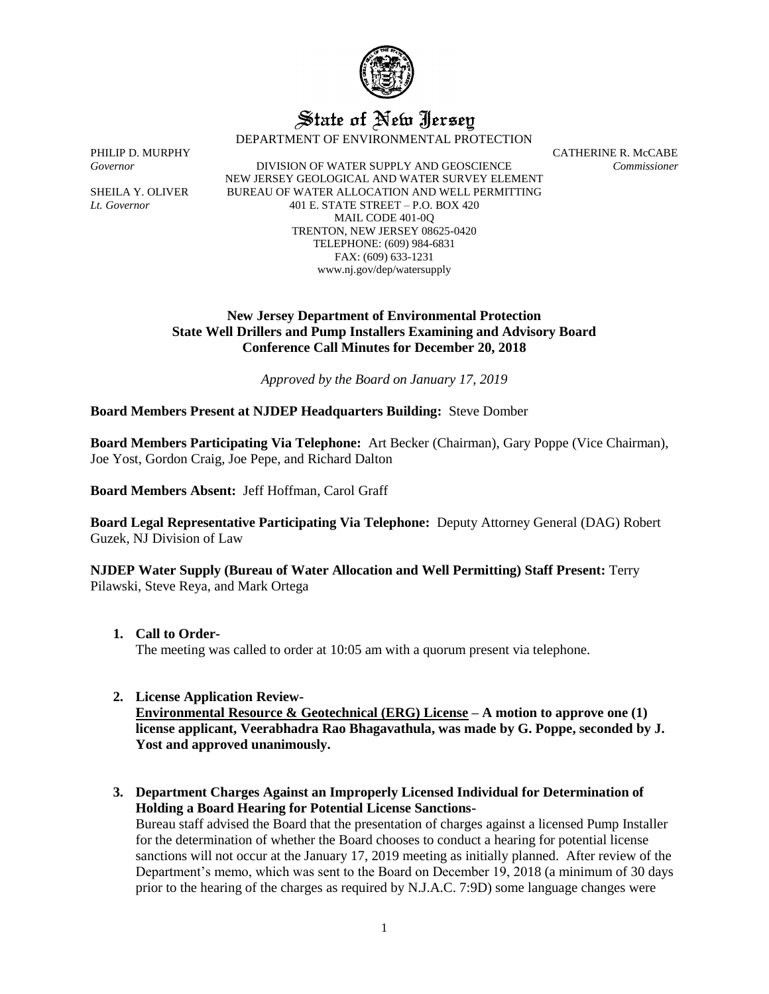

# State of New Jersey

DEPARTMENT OF ENVIRONMENTAL PROTECTION

*Governor* DIVISION OF WATER SUPPLY AND GEOSCIENCE *Commissioner* NEW JERSEY GEOLOGICAL AND WATER SURVEY ELEMENT SHEILA Y. OLIVER BUREAU OF WATER ALLOCATION AND WELL PERMITTING *Lt. Governor* 401 E. STATE STREET – P.O. BOX 420 MAIL CODE 401-0Q TRENTON, NEW JERSEY 08625-0420 TELEPHONE: (609) 984-6831 FAX: (609) 633-1231 www.nj.gov/dep/watersupply

PHILIP D. MURPHY CATHERINE R. McCABE

## **New Jersey Department of Environmental Protection State Well Drillers and Pump Installers Examining and Advisory Board Conference Call Minutes for December 20, 2018**

*Approved by the Board on January 17, 2019*

**Board Members Present at NJDEP Headquarters Building:** Steve Domber

**Board Members Participating Via Telephone:** Art Becker (Chairman), Gary Poppe (Vice Chairman), Joe Yost, Gordon Craig, Joe Pepe, and Richard Dalton

**Board Members Absent:** Jeff Hoffman, Carol Graff

**Board Legal Representative Participating Via Telephone:** Deputy Attorney General (DAG) Robert Guzek, NJ Division of Law

**NJDEP Water Supply (Bureau of Water Allocation and Well Permitting) Staff Present:** Terry Pilawski, Steve Reya, and Mark Ortega

**1. Call to Order-**

The meeting was called to order at 10:05 am with a quorum present via telephone.

**2. License Application Review-**

**Environmental Resource & Geotechnical (ERG) License – A motion to approve one (1) license applicant, Veerabhadra Rao Bhagavathula, was made by G. Poppe, seconded by J. Yost and approved unanimously.**

**3. Department Charges Against an Improperly Licensed Individual for Determination of Holding a Board Hearing for Potential License Sanctions-**

Bureau staff advised the Board that the presentation of charges against a licensed Pump Installer for the determination of whether the Board chooses to conduct a hearing for potential license sanctions will not occur at the January 17, 2019 meeting as initially planned. After review of the Department's memo, which was sent to the Board on December 19, 2018 (a minimum of 30 days prior to the hearing of the charges as required by N.J.A.C. 7:9D) some language changes were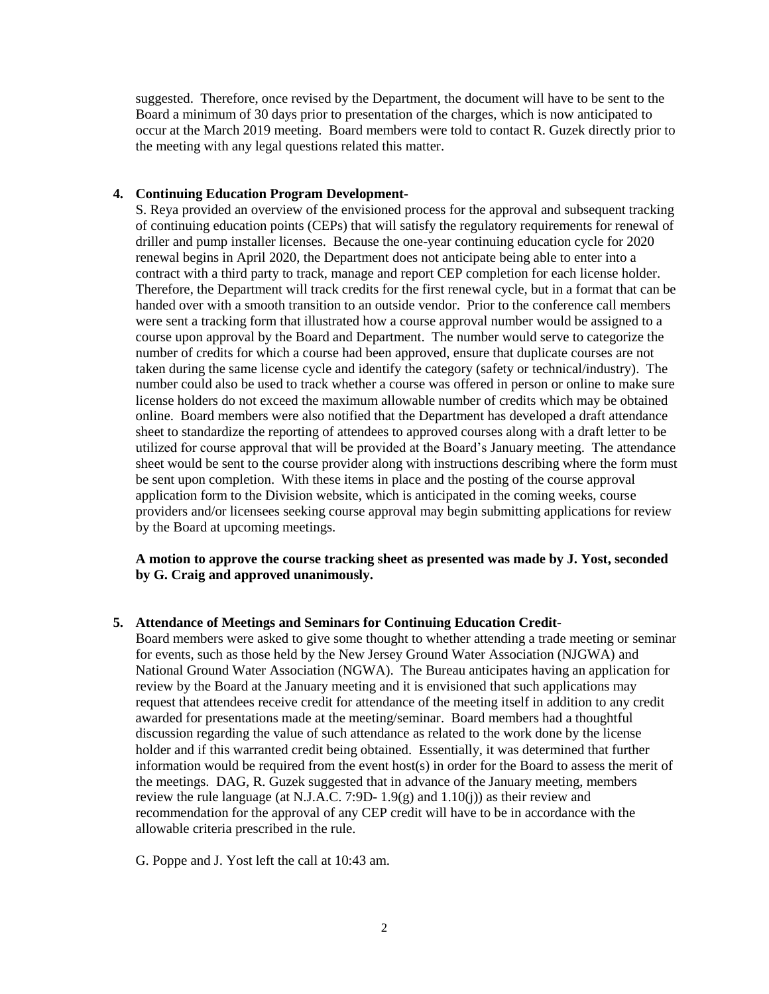suggested. Therefore, once revised by the Department, the document will have to be sent to the Board a minimum of 30 days prior to presentation of the charges, which is now anticipated to occur at the March 2019 meeting. Board members were told to contact R. Guzek directly prior to the meeting with any legal questions related this matter.

### **4. Continuing Education Program Development-**

S. Reya provided an overview of the envisioned process for the approval and subsequent tracking of continuing education points (CEPs) that will satisfy the regulatory requirements for renewal of driller and pump installer licenses. Because the one-year continuing education cycle for 2020 renewal begins in April 2020, the Department does not anticipate being able to enter into a contract with a third party to track, manage and report CEP completion for each license holder. Therefore, the Department will track credits for the first renewal cycle, but in a format that can be handed over with a smooth transition to an outside vendor. Prior to the conference call members were sent a tracking form that illustrated how a course approval number would be assigned to a course upon approval by the Board and Department. The number would serve to categorize the number of credits for which a course had been approved, ensure that duplicate courses are not taken during the same license cycle and identify the category (safety or technical/industry). The number could also be used to track whether a course was offered in person or online to make sure license holders do not exceed the maximum allowable number of credits which may be obtained online. Board members were also notified that the Department has developed a draft attendance sheet to standardize the reporting of attendees to approved courses along with a draft letter to be utilized for course approval that will be provided at the Board's January meeting. The attendance sheet would be sent to the course provider along with instructions describing where the form must be sent upon completion. With these items in place and the posting of the course approval application form to the Division website, which is anticipated in the coming weeks, course providers and/or licensees seeking course approval may begin submitting applications for review by the Board at upcoming meetings.

# **A motion to approve the course tracking sheet as presented was made by J. Yost, seconded by G. Craig and approved unanimously.**

#### **5. Attendance of Meetings and Seminars for Continuing Education Credit-**

Board members were asked to give some thought to whether attending a trade meeting or seminar for events, such as those held by the New Jersey Ground Water Association (NJGWA) and National Ground Water Association (NGWA). The Bureau anticipates having an application for review by the Board at the January meeting and it is envisioned that such applications may request that attendees receive credit for attendance of the meeting itself in addition to any credit awarded for presentations made at the meeting/seminar. Board members had a thoughtful discussion regarding the value of such attendance as related to the work done by the license holder and if this warranted credit being obtained. Essentially, it was determined that further information would be required from the event host(s) in order for the Board to assess the merit of the meetings. DAG, R. Guzek suggested that in advance of the January meeting, members review the rule language (at N.J.A.C. 7:9D-  $1.9(g)$  and  $1.10(i)$ ) as their review and recommendation for the approval of any CEP credit will have to be in accordance with the allowable criteria prescribed in the rule.

G. Poppe and J. Yost left the call at 10:43 am.